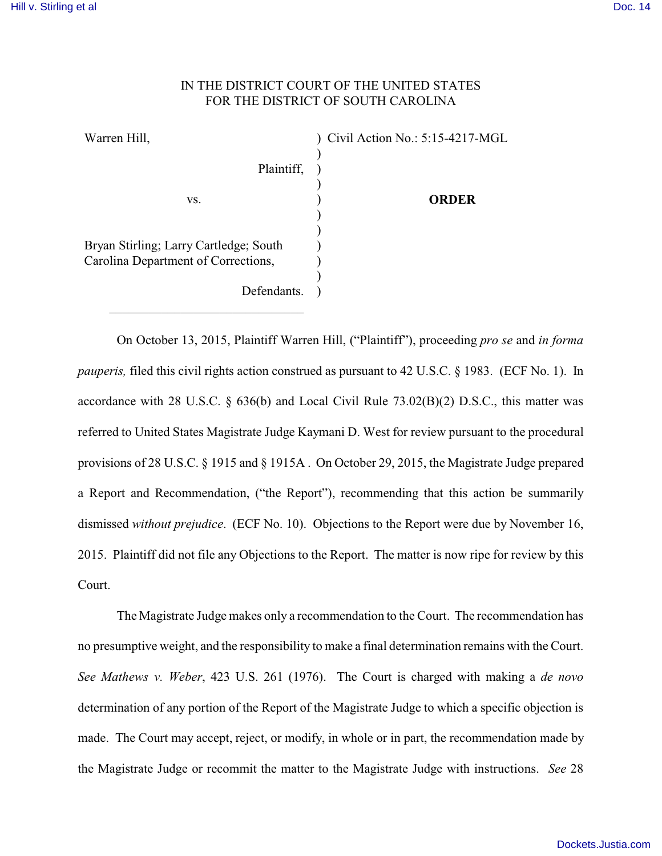## IN THE DISTRICT COURT OF THE UNITED STATES FOR THE DISTRICT OF SOUTH CAROLINA

) ) ) ) ) ) ) ) ) )

Warren Hill,

vs.

 $\_$  . The set of the set of the set of the set of the set of the set of the set of the set of the set of the set of the set of the set of the set of the set of the set of the set of the set of the set of the set of the se

) Civil Action No.: 5:15-4217-MGL

**ORDER**

Bryan Stirling; Larry Cartledge; South Carolina Department of Corrections,

Defendants.

Plaintiff,

On October 13, 2015, Plaintiff Warren Hill, ("Plaintiff"), proceeding *pro se* and *in forma pauperis,* filed this civil rights action construed as pursuant to 42 U.S.C. § 1983. (ECF No. 1). In accordance with 28 U.S.C. § 636(b) and Local Civil Rule 73.02(B)(2) D.S.C., this matter was referred to United States Magistrate Judge Kaymani D. West for review pursuant to the procedural provisions of 28 U.S.C. § 1915 and § 1915A . On October 29, 2015, the Magistrate Judge prepared a Report and Recommendation, ("the Report"), recommending that this action be summarily dismissed *without prejudice*. (ECF No. 10). Objections to the Report were due by November 16, 2015. Plaintiff did not file any Objections to the Report. The matter is now ripe for review by this Court.

The Magistrate Judge makes only a recommendation to the Court. The recommendation has no presumptive weight, and the responsibility to make a final determination remains with the Court. *See Mathews v. Weber*, 423 U.S. 261 (1976). The Court is charged with making a *de novo* determination of any portion of the Report of the Magistrate Judge to which a specific objection is made. The Court may accept, reject, or modify, in whole or in part, the recommendation made by the Magistrate Judge or recommit the matter to the Magistrate Judge with instructions. *See* 28